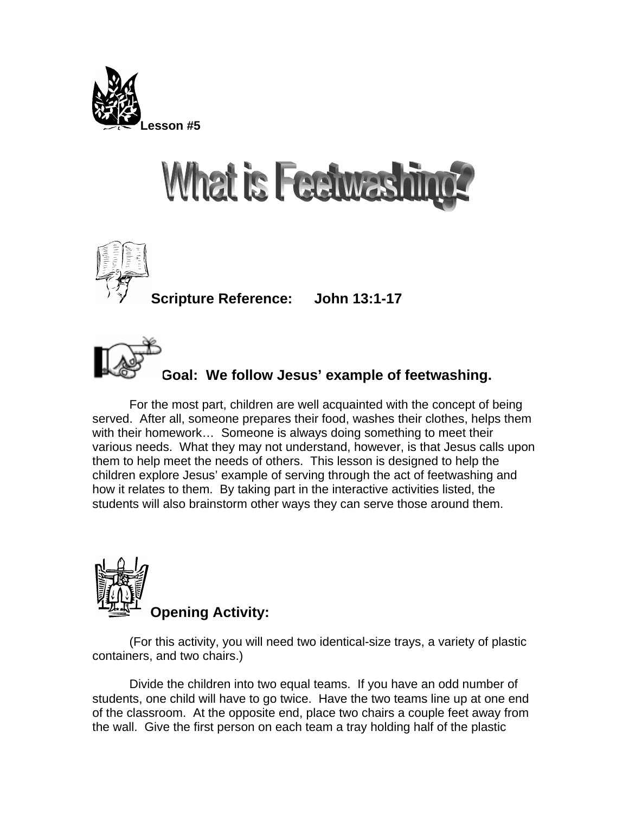

## **What is Feetwash**



**Scripture Reference: John 13:1-17** 

**Goal: We follow Jesus' example of feetwashing.** 

For the most part, children are well acquainted with the concept of being served. After all, someone prepares their food, washes their clothes, helps them with their homework… Someone is always doing something to meet their various needs. What they may not understand, however, is that Jesus calls upon them to help meet the needs of others. This lesson is designed to help the children explore Jesus' example of serving through the act of feetwashing and how it relates to them. By taking part in the interactive activities listed, the students will also brainstorm other ways they can serve those around them.



(For this activity, you will need two identical-size trays, a variety of plastic containers, and two chairs.)

Divide the children into two equal teams. If you have an odd number of students, one child will have to go twice. Have the two teams line up at one end of the classroom. At the opposite end, place two chairs a couple feet away from the wall. Give the first person on each team a tray holding half of the plastic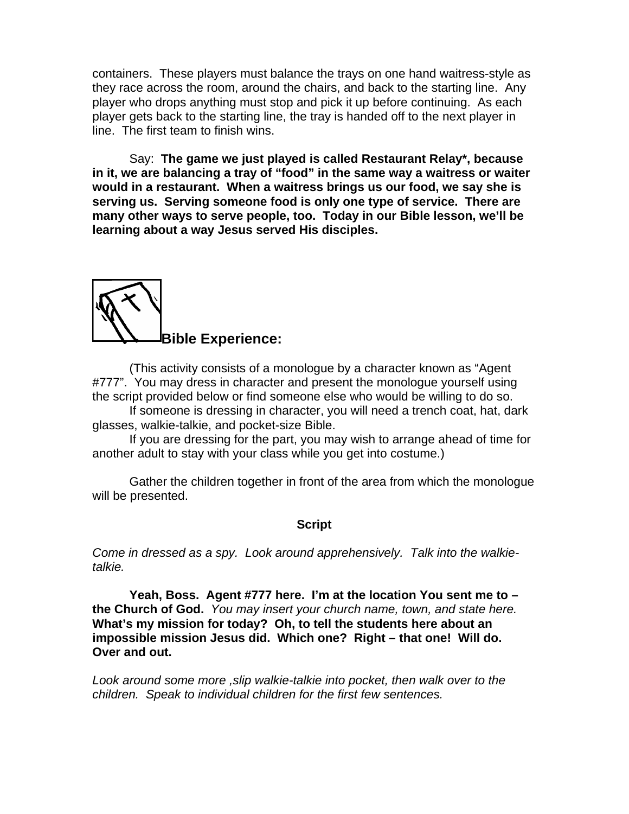containers. These players must balance the trays on one hand waitress-style as they race across the room, around the chairs, and back to the starting line. Any player who drops anything must stop and pick it up before continuing. As each player gets back to the starting line, the tray is handed off to the next player in line. The first team to finish wins.

 Say: **The game we just played is called Restaurant Relay\*, because in it, we are balancing a tray of "food" in the same way a waitress or waiter would in a restaurant. When a waitress brings us our food, we say she is serving us. Serving someone food is only one type of service. There are many other ways to serve people, too. Today in our Bible lesson, we'll be learning about a way Jesus served His disciples.** 



(This activity consists of a monologue by a character known as "Agent #777". You may dress in character and present the monologue yourself using the script provided below or find someone else who would be willing to do so.

If someone is dressing in character, you will need a trench coat, hat, dark glasses, walkie-talkie, and pocket-size Bible.

If you are dressing for the part, you may wish to arrange ahead of time for another adult to stay with your class while you get into costume.)

Gather the children together in front of the area from which the monologue will be presented.

## **Script**

*Come in dressed as a spy. Look around apprehensively. Talk into the walkietalkie.* 

**Yeah, Boss. Agent #777 here. I'm at the location You sent me to – the Church of God.** *You may insert your church name, town, and state here.* **What's my mission for today? Oh, to tell the students here about an impossible mission Jesus did. Which one? Right – that one! Will do. Over and out.**

*Look around some more ,slip walkie-talkie into pocket, then walk over to the children. Speak to individual children for the first few sentences.*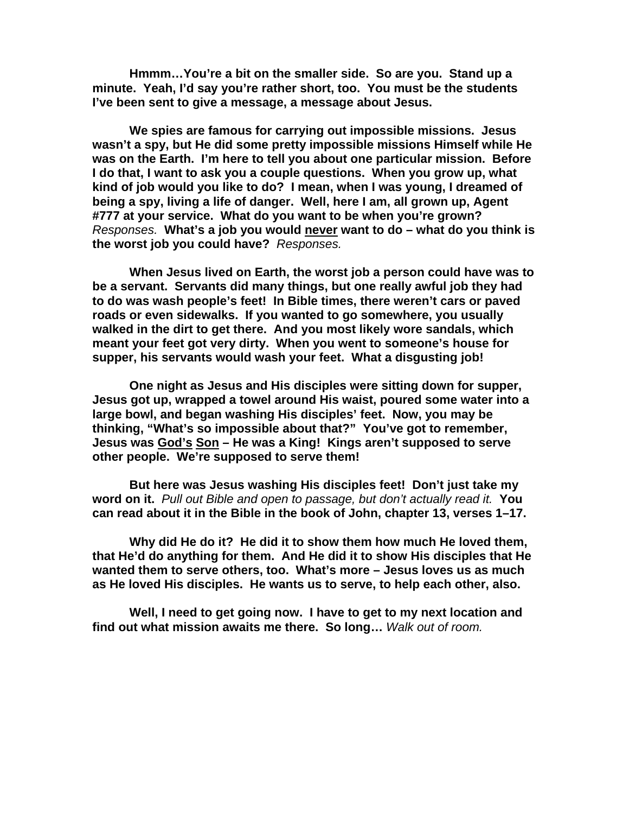**Hmmm…You're a bit on the smaller side. So are you. Stand up a minute. Yeah, I'd say you're rather short, too. You must be the students I've been sent to give a message, a message about Jesus.** 

**We spies are famous for carrying out impossible missions. Jesus wasn't a spy, but He did some pretty impossible missions Himself while He was on the Earth. I'm here to tell you about one particular mission. Before I do that, I want to ask you a couple questions. When you grow up, what kind of job would you like to do? I mean, when I was young, I dreamed of being a spy, living a life of danger. Well, here I am, all grown up, Agent #777 at your service. What do you want to be when you're grown?**  *Responses.* **What's a job you would never want to do – what do you think is the worst job you could have?** *Responses.* 

**When Jesus lived on Earth, the worst job a person could have was to be a servant. Servants did many things, but one really awful job they had to do was wash people's feet! In Bible times, there weren't cars or paved roads or even sidewalks. If you wanted to go somewhere, you usually walked in the dirt to get there. And you most likely wore sandals, which meant your feet got very dirty. When you went to someone's house for supper, his servants would wash your feet. What a disgusting job!** 

**One night as Jesus and His disciples were sitting down for supper, Jesus got up, wrapped a towel around His waist, poured some water into a large bowl, and began washing His disciples' feet. Now, you may be thinking, "What's so impossible about that?" You've got to remember, Jesus was God's Son – He was a King! Kings aren't supposed to serve other people. We're supposed to serve them!** 

**But here was Jesus washing His disciples feet! Don't just take my word on it.** *Pull out Bible and open to passage, but don't actually read it.* **You can read about it in the Bible in the book of John, chapter 13, verses 1–17.** 

**Why did He do it? He did it to show them how much He loved them, that He'd do anything for them. And He did it to show His disciples that He wanted them to serve others, too. What's more – Jesus loves us as much as He loved His disciples. He wants us to serve, to help each other, also.** 

**Well, I need to get going now. I have to get to my next location and find out what mission awaits me there. So long…** *Walk out of room.*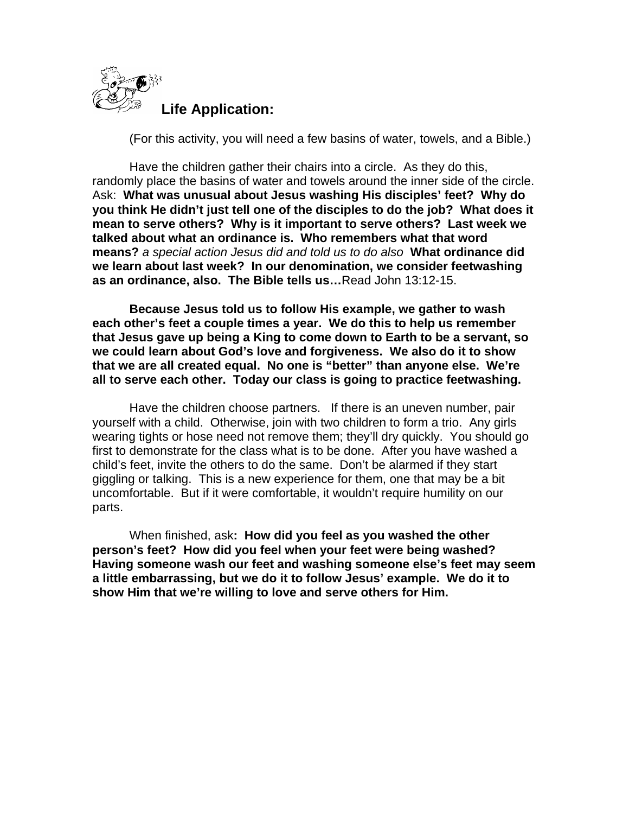

(For this activity, you will need a few basins of water, towels, and a Bible.)

Have the children gather their chairs into a circle. As they do this, randomly place the basins of water and towels around the inner side of the circle. Ask: **What was unusual about Jesus washing His disciples' feet? Why do you think He didn't just tell one of the disciples to do the job? What does it mean to serve others? Why is it important to serve others? Last week we talked about what an ordinance is. Who remembers what that word means?** *a special action Jesus did and told us to do also* **What ordinance did we learn about last week? In our denomination, we consider feetwashing as an ordinance, also. The Bible tells us…**Read John 13:12-15.

**Because Jesus told us to follow His example, we gather to wash each other's feet a couple times a year. We do this to help us remember that Jesus gave up being a King to come down to Earth to be a servant, so we could learn about God's love and forgiveness. We also do it to show that we are all created equal. No one is "better" than anyone else. We're all to serve each other. Today our class is going to practice feetwashing.** 

Have the children choose partners. If there is an uneven number, pair yourself with a child. Otherwise, join with two children to form a trio. Any girls wearing tights or hose need not remove them; they'll dry quickly. You should go first to demonstrate for the class what is to be done. After you have washed a child's feet, invite the others to do the same. Don't be alarmed if they start giggling or talking. This is a new experience for them, one that may be a bit uncomfortable. But if it were comfortable, it wouldn't require humility on our parts.

When finished, ask**: How did you feel as you washed the other person's feet? How did you feel when your feet were being washed? Having someone wash our feet and washing someone else's feet may seem a little embarrassing, but we do it to follow Jesus' example. We do it to show Him that we're willing to love and serve others for Him.**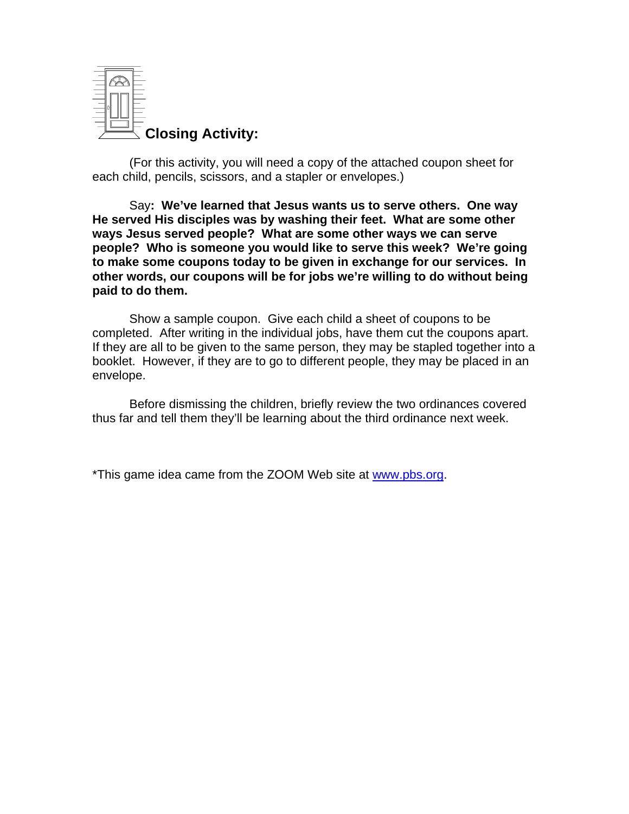

(For this activity, you will need a copy of the attached coupon sheet for each child, pencils, scissors, and a stapler or envelopes.)

 Say**: We've learned that Jesus wants us to serve others. One way He served His disciples was by washing their feet. What are some other ways Jesus served people? What are some other ways we can serve people? Who is someone you would like to serve this week? We're going to make some coupons today to be given in exchange for our services. In other words, our coupons will be for jobs we're willing to do without being paid to do them.** 

Show a sample coupon. Give each child a sheet of coupons to be completed. After writing in the individual jobs, have them cut the coupons apart. If they are all to be given to the same person, they may be stapled together into a booklet. However, if they are to go to different people, they may be placed in an envelope.

Before dismissing the children, briefly review the two ordinances covered thus far and tell them they'll be learning about the third ordinance next week.

\*This game idea came from the ZOOM Web site at [www.pbs.org](http://www.pbs.org/).